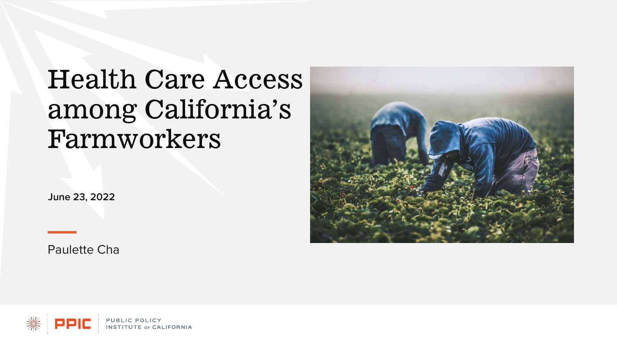# Health Care Access among California's Farmworkers

**June 23, 2022**

Paulette Cha



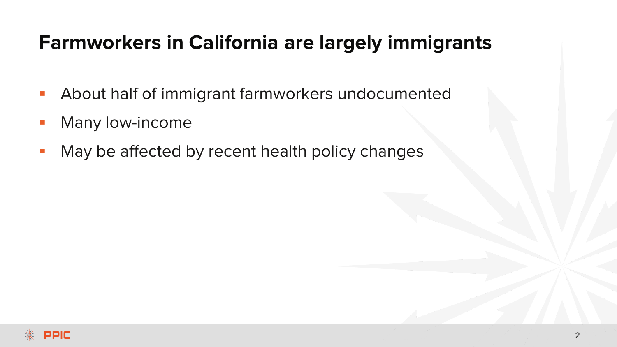## **Farmworkers in California are largely immigrants**

- **About half of immigrant farmworkers undocumented**
- Many low-income
- May be affected by recent health policy changes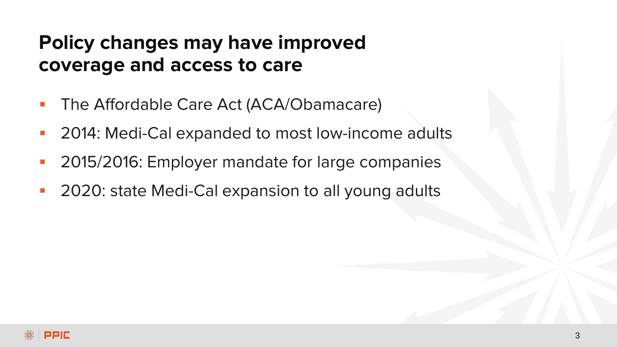### **Policy changes may have improved coverage and access to care**

- The Affordable Care Act (ACA/Obamacare)
- 2014: Medi-Cal expanded to most low-income adults
- 2015/2016: Employer mandate for large companies
- 2020: state Medi-Cal expansion to all young adults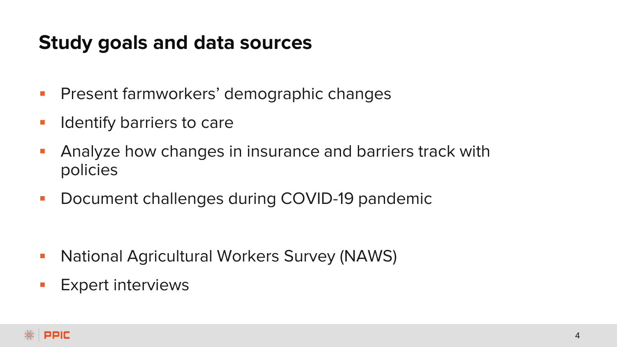#### **Study goals and data sources**

- **Present farmworkers' demographic changes**
- **Indentify barriers to care**
- **Analyze how changes in insurance and barriers track with** policies
- **Document challenges during COVID-19 pandemic**

- **National Agricultural Workers Survey (NAWS)**
- **Expert interviews**

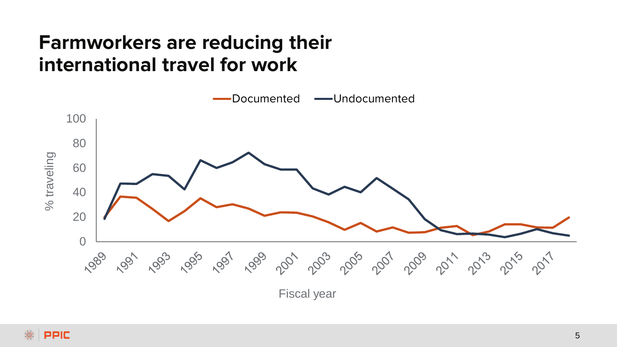## **Farmworkers are reducing their international travel for work**

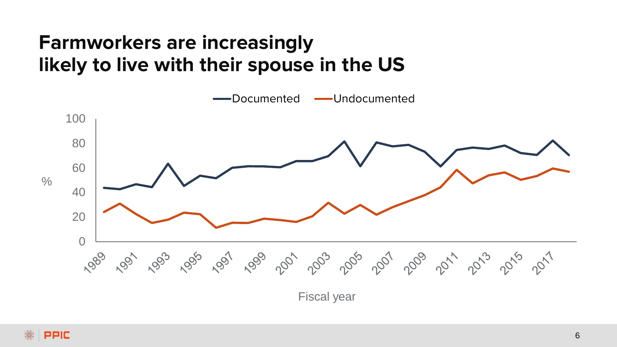## **Farmworkers are increasingly likely to live with their spouse in the US**



Fiscal year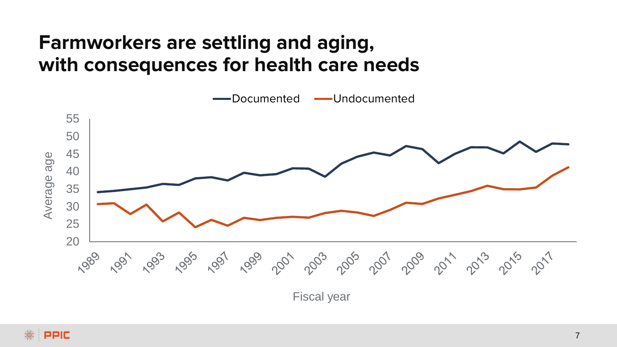## **Farmworkers are settling and aging, with consequences for health care needs**



Fiscal year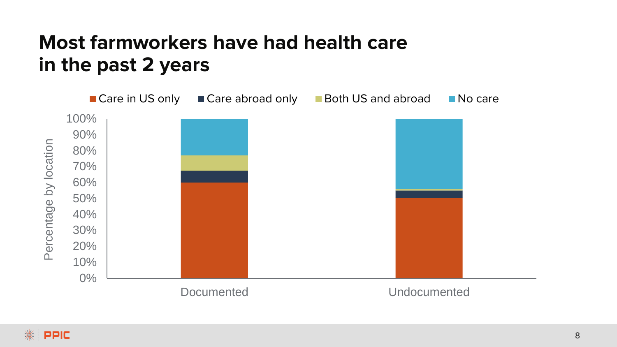## **Most farmworkers have had health care in the past 2 years**

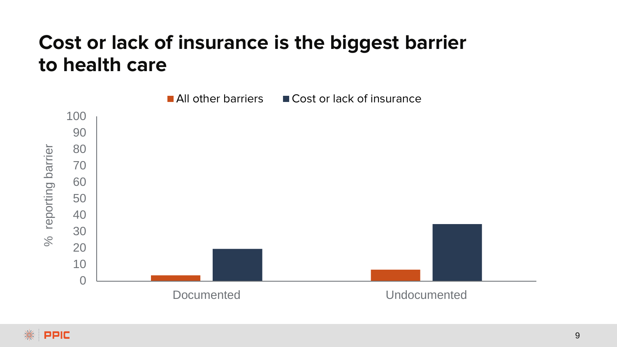## **Cost or lack of insurance is the biggest barrier to health care**

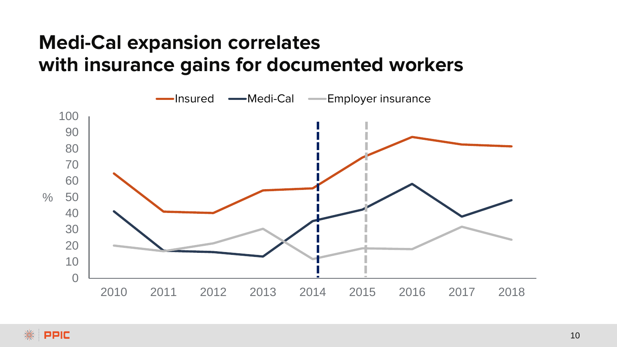## **Medi-Cal expansion correlates with insurance gains for documented workers**



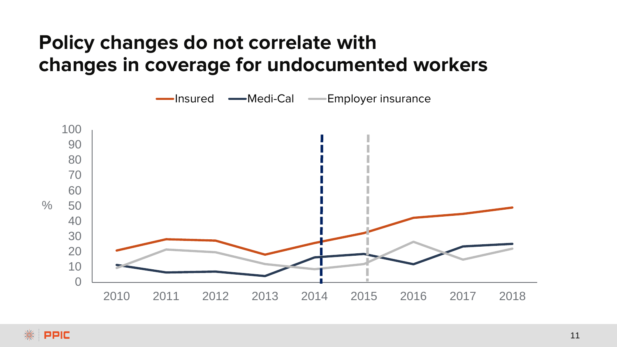## **Policy changes do not correlate with changes in coverage for undocumented workers**

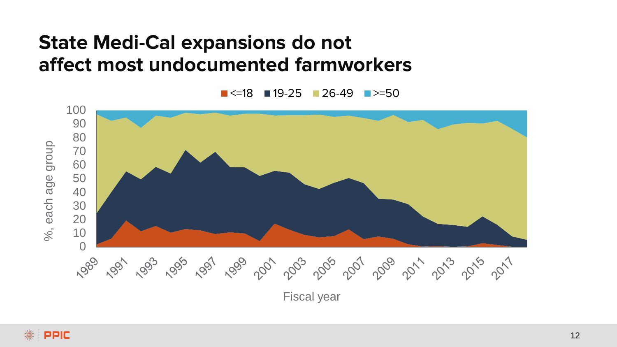#### **State Medi-Cal expansions do not affect most undocumented farmworkers**

 $\blacksquare$  <=18  $\blacksquare$  19-25  $\blacksquare$  26-49  $\blacksquare$  >=50



Fiscal year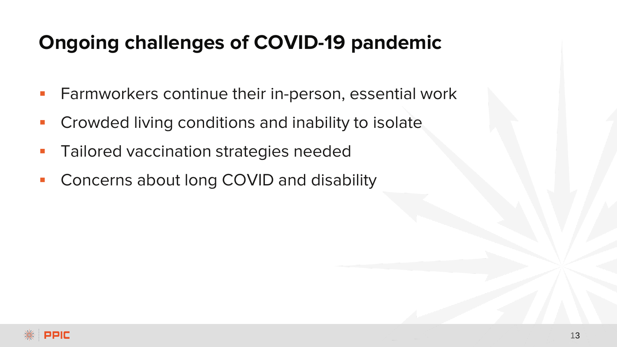## **Ongoing challenges of COVID-19 pandemic**

- **Farmworkers continue their in-person, essential work**
- Crowded living conditions and inability to isolate
- Tailored vaccination strategies needed
- Concerns about long COVID and disability